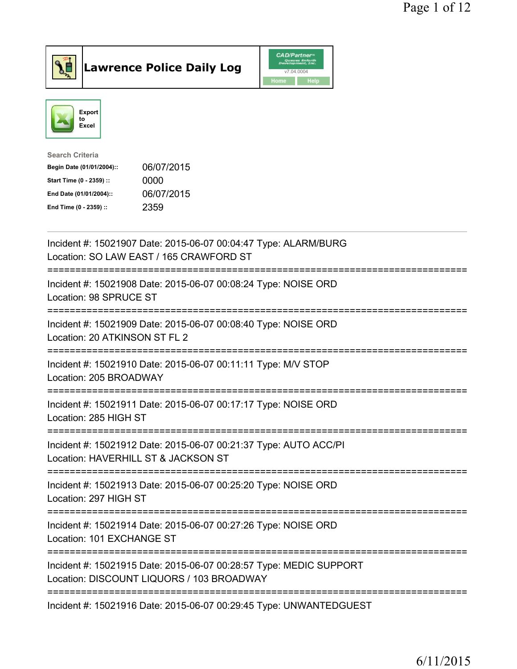

Lawrence Police Daily Log CAD/Partners



| <b>Search Criteria</b>    |            |
|---------------------------|------------|
| Begin Date (01/01/2004):: | 06/07/2015 |
| Start Time (0 - 2359) ::  | 0000       |
| End Date (01/01/2004)::   | 06/07/2015 |
| End Time (0 - 2359) ::    | 2359       |
|                           |            |

| Incident #: 15021907 Date: 2015-06-07 00:04:47 Type: ALARM/BURG<br>Location: SO LAW EAST / 165 CRAWFORD ST<br>=======================     |
|-------------------------------------------------------------------------------------------------------------------------------------------|
| Incident #: 15021908 Date: 2015-06-07 00:08:24 Type: NOISE ORD<br>Location: 98 SPRUCE ST                                                  |
| Incident #: 15021909 Date: 2015-06-07 00:08:40 Type: NOISE ORD<br>Location: 20 ATKINSON ST FL 2<br>----------------                       |
| Incident #: 15021910 Date: 2015-06-07 00:11:11 Type: M/V STOP<br>Location: 205 BROADWAY                                                   |
| Incident #: 15021911 Date: 2015-06-07 00:17:17 Type: NOISE ORD<br>Location: 285 HIGH ST<br>====================================           |
| Incident #: 15021912 Date: 2015-06-07 00:21:37 Type: AUTO ACC/PI<br>Location: HAVERHILL ST & JACKSON ST<br>============================== |
| Incident #: 15021913 Date: 2015-06-07 00:25:20 Type: NOISE ORD<br>Location: 297 HIGH ST                                                   |
| Incident #: 15021914 Date: 2015-06-07 00:27:26 Type: NOISE ORD<br>Location: 101 EXCHANGE ST                                               |
| Incident #: 15021915 Date: 2015-06-07 00:28:57 Type: MEDIC SUPPORT<br>Location: DISCOUNT LIQUORS / 103 BROADWAY                           |
| ----------------------------------<br>Incident #: 15021916 Date: 2015-06-07 00:29:45 Type: UNWANTEDGUEST                                  |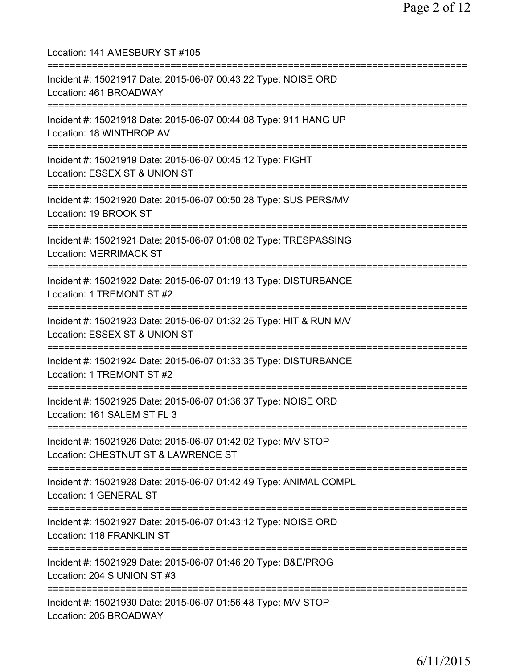Location: 141 AMESBURY ST #105 =========================================================================== Incident #: 15021917 Date: 2015-06-07 00:43:22 Type: NOISE ORD Location: 461 BROADWAY =========================================================================== Incident #: 15021918 Date: 2015-06-07 00:44:08 Type: 911 HANG UP Location: 18 WINTHROP AV =========================================================================== Incident #: 15021919 Date: 2015-06-07 00:45:12 Type: FIGHT Location: ESSEX ST & UNION ST =========================================================================== Incident #: 15021920 Date: 2015-06-07 00:50:28 Type: SUS PERS/MV Location: 19 BROOK ST =========================================================================== Incident #: 15021921 Date: 2015-06-07 01:08:02 Type: TRESPASSING Location: MERRIMACK ST =========================================================================== Incident #: 15021922 Date: 2015-06-07 01:19:13 Type: DISTURBANCE Location: 1 TREMONT ST #2 =========================================================================== Incident #: 15021923 Date: 2015-06-07 01:32:25 Type: HIT & RUN M/V Location: ESSEX ST & UNION ST =========================================================================== Incident #: 15021924 Date: 2015-06-07 01:33:35 Type: DISTURBANCE Location: 1 TREMONT ST #2 =========================================================================== Incident #: 15021925 Date: 2015-06-07 01:36:37 Type: NOISE ORD Location: 161 SALEM ST FL 3 =========================================================================== Incident #: 15021926 Date: 2015-06-07 01:42:02 Type: M/V STOP Location: CHESTNUT ST & LAWRENCE ST =========================================================================== Incident #: 15021928 Date: 2015-06-07 01:42:49 Type: ANIMAL COMPL Location: 1 GENERAL ST =========================================================================== Incident #: 15021927 Date: 2015-06-07 01:43:12 Type: NOISE ORD Location: 118 FRANKLIN ST =========================================================================== Incident #: 15021929 Date: 2015-06-07 01:46:20 Type: B&E/PROG Location: 204 S UNION ST #3 =========================================================================== Incident #: 15021930 Date: 2015-06-07 01:56:48 Type: M/V STOP Location: 205 BROADWAY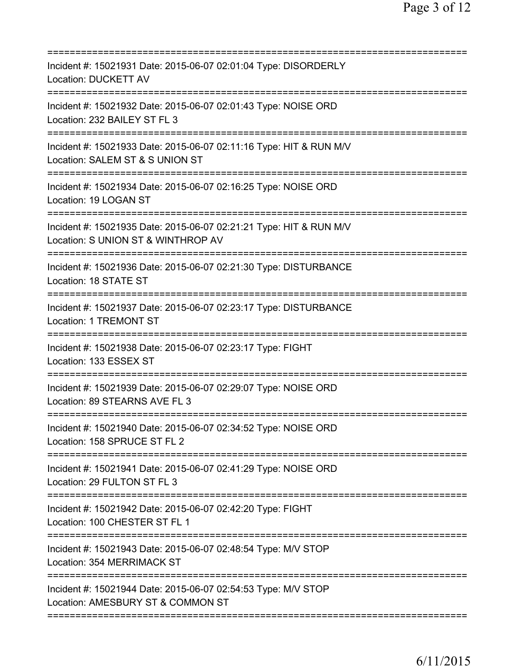| Incident #: 15021931 Date: 2015-06-07 02:01:04 Type: DISORDERLY<br><b>Location: DUCKETT AV</b>                                                   |
|--------------------------------------------------------------------------------------------------------------------------------------------------|
| Incident #: 15021932 Date: 2015-06-07 02:01:43 Type: NOISE ORD<br>Location: 232 BAILEY ST FL 3                                                   |
| Incident #: 15021933 Date: 2015-06-07 02:11:16 Type: HIT & RUN M/V<br>Location: SALEM ST & S UNION ST                                            |
| Incident #: 15021934 Date: 2015-06-07 02:16:25 Type: NOISE ORD<br>Location: 19 LOGAN ST                                                          |
| .===================================<br>Incident #: 15021935 Date: 2015-06-07 02:21:21 Type: HIT & RUN M/V<br>Location: S UNION ST & WINTHROP AV |
| Incident #: 15021936 Date: 2015-06-07 02:21:30 Type: DISTURBANCE<br>Location: 18 STATE ST<br>===================                                 |
| Incident #: 15021937 Date: 2015-06-07 02:23:17 Type: DISTURBANCE<br>Location: 1 TREMONT ST                                                       |
| Incident #: 15021938 Date: 2015-06-07 02:23:17 Type: FIGHT<br>Location: 133 ESSEX ST                                                             |
| Incident #: 15021939 Date: 2015-06-07 02:29:07 Type: NOISE ORD<br>Location: 89 STEARNS AVE FL 3                                                  |
| Incident #: 15021940 Date: 2015-06-07 02:34:52 Type: NOISE ORD<br>Location: 158 SPRUCE ST FL 2                                                   |
| Incident #: 15021941 Date: 2015-06-07 02:41:29 Type: NOISE ORD<br>Location: 29 FULTON ST FL 3                                                    |
| Incident #: 15021942 Date: 2015-06-07 02:42:20 Type: FIGHT<br>Location: 100 CHESTER ST FL 1                                                      |
| Incident #: 15021943 Date: 2015-06-07 02:48:54 Type: M/V STOP<br>Location: 354 MERRIMACK ST                                                      |
| Incident #: 15021944 Date: 2015-06-07 02:54:53 Type: M/V STOP<br>Location: AMESBURY ST & COMMON ST                                               |
|                                                                                                                                                  |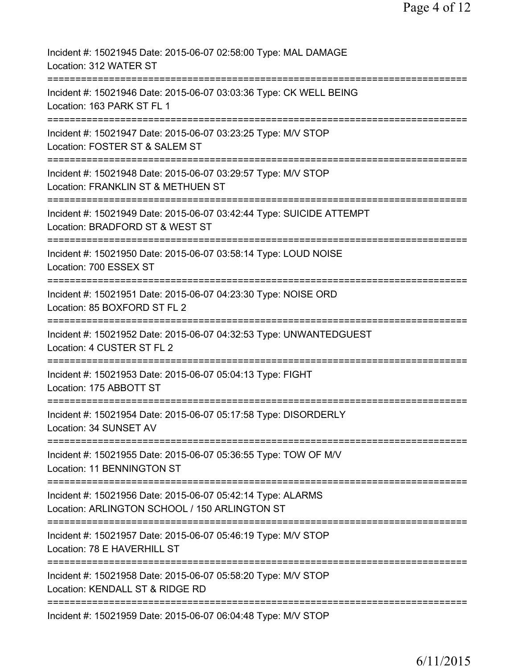| Incident #: 15021945 Date: 2015-06-07 02:58:00 Type: MAL DAMAGE<br>Location: 312 WATER ST                                         |
|-----------------------------------------------------------------------------------------------------------------------------------|
| Incident #: 15021946 Date: 2015-06-07 03:03:36 Type: CK WELL BEING<br>Location: 163 PARK ST FL 1                                  |
| Incident #: 15021947 Date: 2015-06-07 03:23:25 Type: M/V STOP<br>Location: FOSTER ST & SALEM ST                                   |
| Incident #: 15021948 Date: 2015-06-07 03:29:57 Type: M/V STOP<br>Location: FRANKLIN ST & METHUEN ST                               |
| Incident #: 15021949 Date: 2015-06-07 03:42:44 Type: SUICIDE ATTEMPT<br>Location: BRADFORD ST & WEST ST                           |
| Incident #: 15021950 Date: 2015-06-07 03:58:14 Type: LOUD NOISE<br>Location: 700 ESSEX ST                                         |
| Incident #: 15021951 Date: 2015-06-07 04:23:30 Type: NOISE ORD<br>Location: 85 BOXFORD ST FL 2                                    |
| Incident #: 15021952 Date: 2015-06-07 04:32:53 Type: UNWANTEDGUEST<br>Location: 4 CUSTER ST FL 2                                  |
| Incident #: 15021953 Date: 2015-06-07 05:04:13 Type: FIGHT<br>Location: 175 ABBOTT ST                                             |
| Incident #: 15021954 Date: 2015-06-07 05:17:58 Type: DISORDERLY<br>Location: 34 SUNSET AV                                         |
| Incident #: 15021955 Date: 2015-06-07 05:36:55 Type: TOW OF M/V<br>Location: 11 BENNINGTON ST                                     |
| Incident #: 15021956 Date: 2015-06-07 05:42:14 Type: ALARMS<br>Location: ARLINGTON SCHOOL / 150 ARLINGTON ST                      |
| ================================<br>Incident #: 15021957 Date: 2015-06-07 05:46:19 Type: M/V STOP<br>Location: 78 E HAVERHILL ST  |
| =============================<br>Incident #: 15021958 Date: 2015-06-07 05:58:20 Type: M/V STOP<br>Location: KENDALL ST & RIDGE RD |
| Incident #: 15021959 Date: 2015-06-07 06:04:48 Type: M/V STOP                                                                     |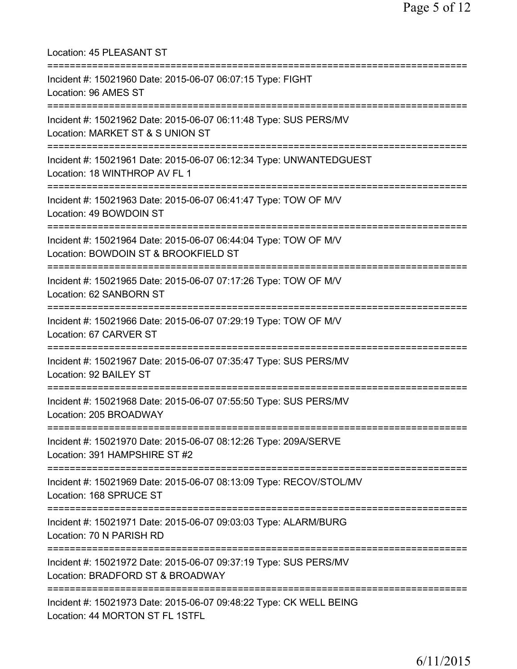| Location: 45 PLEASANT ST<br>===================                                                                                  |
|----------------------------------------------------------------------------------------------------------------------------------|
| Incident #: 15021960 Date: 2015-06-07 06:07:15 Type: FIGHT<br>Location: 96 AMES ST                                               |
| Incident #: 15021962 Date: 2015-06-07 06:11:48 Type: SUS PERS/MV<br>Location: MARKET ST & S UNION ST                             |
| Incident #: 15021961 Date: 2015-06-07 06:12:34 Type: UNWANTEDGUEST<br>Location: 18 WINTHROP AV FL 1<br>========================= |
| Incident #: 15021963 Date: 2015-06-07 06:41:47 Type: TOW OF M/V<br>Location: 49 BOWDOIN ST                                       |
| Incident #: 15021964 Date: 2015-06-07 06:44:04 Type: TOW OF M/V<br>Location: BOWDOIN ST & BROOKFIELD ST                          |
| Incident #: 15021965 Date: 2015-06-07 07:17:26 Type: TOW OF M/V<br>Location: 62 SANBORN ST                                       |
| Incident #: 15021966 Date: 2015-06-07 07:29:19 Type: TOW OF M/V<br>Location: 67 CARVER ST                                        |
| Incident #: 15021967 Date: 2015-06-07 07:35:47 Type: SUS PERS/MV<br>Location: 92 BAILEY ST                                       |
| Incident #: 15021968 Date: 2015-06-07 07:55:50 Type: SUS PERS/MV<br>Location: 205 BROADWAY                                       |
| Incident #: 15021970 Date: 2015-06-07 08:12:26 Type: 209A/SERVE<br>Location: 391 HAMPSHIRE ST #2                                 |
| Incident #: 15021969 Date: 2015-06-07 08:13:09 Type: RECOV/STOL/MV<br>Location: 168 SPRUCE ST                                    |
| Incident #: 15021971 Date: 2015-06-07 09:03:03 Type: ALARM/BURG<br>Location: 70 N PARISH RD                                      |
| Incident #: 15021972 Date: 2015-06-07 09:37:19 Type: SUS PERS/MV<br>Location: BRADFORD ST & BROADWAY                             |
| Incident #: 15021973 Date: 2015-06-07 09:48:22 Type: CK WELL BEING<br>Location: 44 MORTON ST FL 1STFL                            |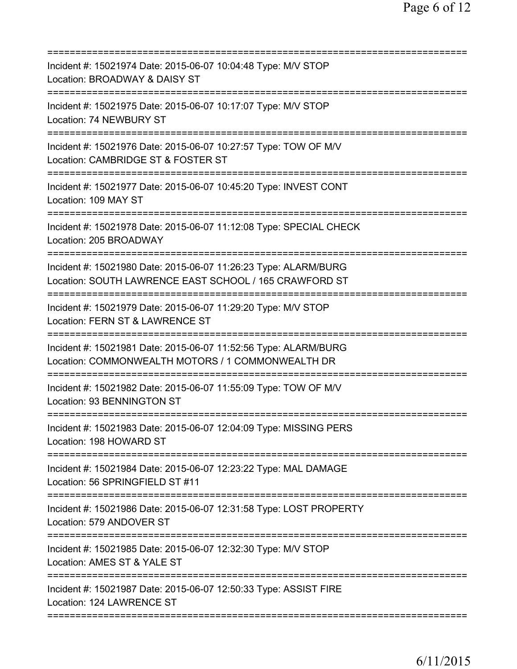| Incident #: 15021974 Date: 2015-06-07 10:04:48 Type: M/V STOP<br>Location: BROADWAY & DAISY ST                            |
|---------------------------------------------------------------------------------------------------------------------------|
| Incident #: 15021975 Date: 2015-06-07 10:17:07 Type: M/V STOP<br>Location: 74 NEWBURY ST                                  |
| Incident #: 15021976 Date: 2015-06-07 10:27:57 Type: TOW OF M/V<br>Location: CAMBRIDGE ST & FOSTER ST                     |
| Incident #: 15021977 Date: 2015-06-07 10:45:20 Type: INVEST CONT<br>Location: 109 MAY ST                                  |
| Incident #: 15021978 Date: 2015-06-07 11:12:08 Type: SPECIAL CHECK<br>Location: 205 BROADWAY                              |
| Incident #: 15021980 Date: 2015-06-07 11:26:23 Type: ALARM/BURG<br>Location: SOUTH LAWRENCE EAST SCHOOL / 165 CRAWFORD ST |
| Incident #: 15021979 Date: 2015-06-07 11:29:20 Type: M/V STOP<br>Location: FERN ST & LAWRENCE ST                          |
| Incident #: 15021981 Date: 2015-06-07 11:52:56 Type: ALARM/BURG<br>Location: COMMONWEALTH MOTORS / 1 COMMONWEALTH DR      |
| Incident #: 15021982 Date: 2015-06-07 11:55:09 Type: TOW OF M/V<br>Location: 93 BENNINGTON ST                             |
| Incident #: 15021983 Date: 2015-06-07 12:04:09 Type: MISSING PERS<br>Location: 198 HOWARD ST                              |
| Incident #: 15021984 Date: 2015-06-07 12:23:22 Type: MAL DAMAGE<br>Location: 56 SPRINGFIELD ST #11                        |
| Incident #: 15021986 Date: 2015-06-07 12:31:58 Type: LOST PROPERTY<br>Location: 579 ANDOVER ST                            |
| Incident #: 15021985 Date: 2015-06-07 12:32:30 Type: M/V STOP<br>Location: AMES ST & YALE ST                              |
| Incident #: 15021987 Date: 2015-06-07 12:50:33 Type: ASSIST FIRE<br>Location: 124 LAWRENCE ST                             |
|                                                                                                                           |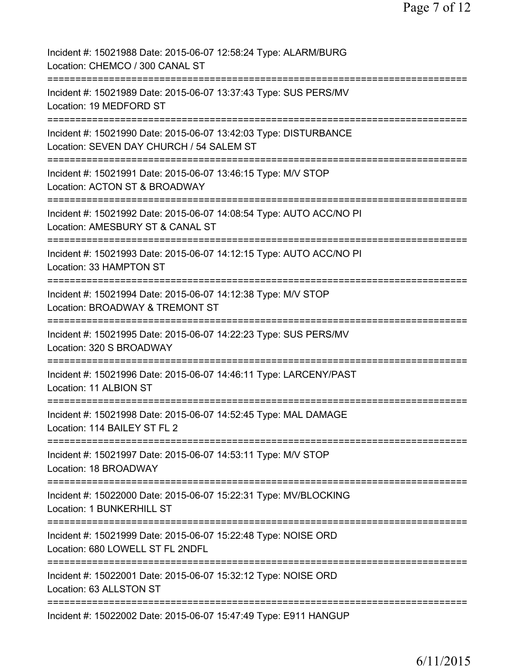| Incident #: 15021988 Date: 2015-06-07 12:58:24 Type: ALARM/BURG<br>Location: CHEMCO / 300 CANAL ST                                                        |
|-----------------------------------------------------------------------------------------------------------------------------------------------------------|
| Incident #: 15021989 Date: 2015-06-07 13:37:43 Type: SUS PERS/MV<br>Location: 19 MEDFORD ST                                                               |
| Incident #: 15021990 Date: 2015-06-07 13:42:03 Type: DISTURBANCE<br>Location: SEVEN DAY CHURCH / 54 SALEM ST                                              |
| Incident #: 15021991 Date: 2015-06-07 13:46:15 Type: M/V STOP<br>Location: ACTON ST & BROADWAY                                                            |
| Incident #: 15021992 Date: 2015-06-07 14:08:54 Type: AUTO ACC/NO PI<br>Location: AMESBURY ST & CANAL ST<br>:=======================<br>================== |
| Incident #: 15021993 Date: 2015-06-07 14:12:15 Type: AUTO ACC/NO PI<br>Location: 33 HAMPTON ST<br>---------------------------------                       |
| Incident #: 15021994 Date: 2015-06-07 14:12:38 Type: M/V STOP<br>Location: BROADWAY & TREMONT ST                                                          |
| Incident #: 15021995 Date: 2015-06-07 14:22:23 Type: SUS PERS/MV<br>Location: 320 S BROADWAY                                                              |
| Incident #: 15021996 Date: 2015-06-07 14:46:11 Type: LARCENY/PAST<br>Location: 11 ALBION ST                                                               |
| Incident #: 15021998 Date: 2015-06-07 14:52:45 Type: MAL DAMAGE<br>Location: 114 BAILEY ST FL 2                                                           |
| Incident #: 15021997 Date: 2015-06-07 14:53:11 Type: M/V STOP<br>Location: 18 BROADWAY                                                                    |
| Incident #: 15022000 Date: 2015-06-07 15:22:31 Type: MV/BLOCKING<br>Location: 1 BUNKERHILL ST                                                             |
| Incident #: 15021999 Date: 2015-06-07 15:22:48 Type: NOISE ORD<br>Location: 680 LOWELL ST FL 2NDFL<br>===========================                         |
| ===============<br>Incident #: 15022001 Date: 2015-06-07 15:32:12 Type: NOISE ORD<br>Location: 63 ALLSTON ST                                              |
| Incident #: 15022002 Date: 2015-06-07 15:47:49 Type: E911 HANGUP                                                                                          |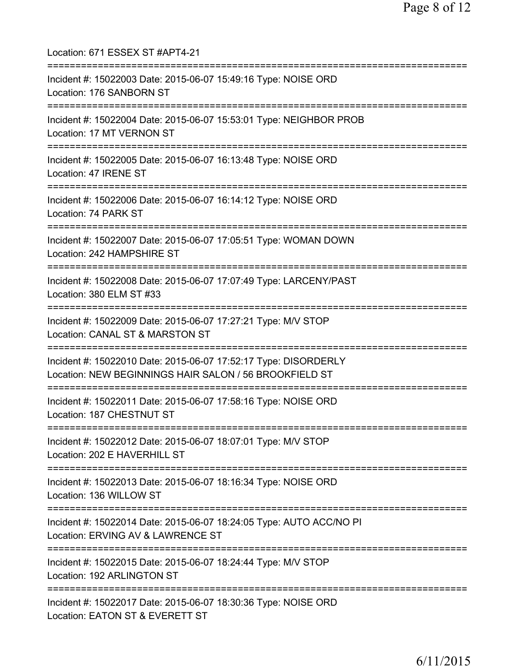Location: 671 ESSEX ST #APT4-21 =========================================================================== Incident #: 15022003 Date: 2015-06-07 15:49:16 Type: NOISE ORD Location: 176 SANBORN ST =========================================================================== Incident #: 15022004 Date: 2015-06-07 15:53:01 Type: NEIGHBOR PROB Location: 17 MT VERNON ST =========================================================================== Incident #: 15022005 Date: 2015-06-07 16:13:48 Type: NOISE ORD Location: 47 IRENE ST =========================================================================== Incident #: 15022006 Date: 2015-06-07 16:14:12 Type: NOISE ORD Location: 74 PARK ST =========================================================================== Incident #: 15022007 Date: 2015-06-07 17:05:51 Type: WOMAN DOWN Location: 242 HAMPSHIRE ST =========================================================================== Incident #: 15022008 Date: 2015-06-07 17:07:49 Type: LARCENY/PAST Location: 380 ELM ST #33 =========================================================================== Incident #: 15022009 Date: 2015-06-07 17:27:21 Type: M/V STOP Location: CANAL ST & MARSTON ST =========================================================================== Incident #: 15022010 Date: 2015-06-07 17:52:17 Type: DISORDERLY Location: NEW BEGINNINGS HAIR SALON / 56 BROOKFIELD ST =========================================================================== Incident #: 15022011 Date: 2015-06-07 17:58:16 Type: NOISE ORD Location: 187 CHESTNUT ST =========================================================================== Incident #: 15022012 Date: 2015-06-07 18:07:01 Type: M/V STOP Location: 202 E HAVERHILL ST =========================================================================== Incident #: 15022013 Date: 2015-06-07 18:16:34 Type: NOISE ORD Location: 136 WILLOW ST =========================================================================== Incident #: 15022014 Date: 2015-06-07 18:24:05 Type: AUTO ACC/NO PI Location: ERVING AV & LAWRENCE ST =========================================================================== Incident #: 15022015 Date: 2015-06-07 18:24:44 Type: M/V STOP Location: 192 ARLINGTON ST =========================================================================== Incident #: 15022017 Date: 2015-06-07 18:30:36 Type: NOISE ORD Location: EATON ST & EVERETT ST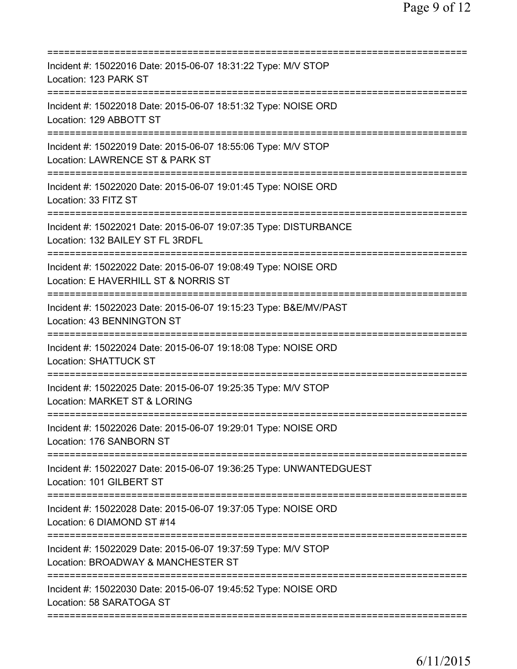| Incident #: 15022016 Date: 2015-06-07 18:31:22 Type: M/V STOP<br>Location: 123 PARK ST                           |
|------------------------------------------------------------------------------------------------------------------|
| Incident #: 15022018 Date: 2015-06-07 18:51:32 Type: NOISE ORD<br>Location: 129 ABBOTT ST                        |
| Incident #: 15022019 Date: 2015-06-07 18:55:06 Type: M/V STOP<br>Location: LAWRENCE ST & PARK ST                 |
| Incident #: 15022020 Date: 2015-06-07 19:01:45 Type: NOISE ORD<br>Location: 33 FITZ ST<br>====================== |
| Incident #: 15022021 Date: 2015-06-07 19:07:35 Type: DISTURBANCE<br>Location: 132 BAILEY ST FL 3RDFL             |
| Incident #: 15022022 Date: 2015-06-07 19:08:49 Type: NOISE ORD<br>Location: E HAVERHILL ST & NORRIS ST           |
| Incident #: 15022023 Date: 2015-06-07 19:15:23 Type: B&E/MV/PAST<br>Location: 43 BENNINGTON ST                   |
| Incident #: 15022024 Date: 2015-06-07 19:18:08 Type: NOISE ORD<br><b>Location: SHATTUCK ST</b>                   |
| Incident #: 15022025 Date: 2015-06-07 19:25:35 Type: M/V STOP<br>Location: MARKET ST & LORING                    |
| Incident #: 15022026 Date: 2015-06-07 19:29:01 Type: NOISE ORD<br>Location: 176 SANBORN ST                       |
| Incident #: 15022027 Date: 2015-06-07 19:36:25 Type: UNWANTEDGUEST<br>Location: 101 GILBERT ST                   |
| Incident #: 15022028 Date: 2015-06-07 19:37:05 Type: NOISE ORD<br>Location: 6 DIAMOND ST #14                     |
| Incident #: 15022029 Date: 2015-06-07 19:37:59 Type: M/V STOP<br>Location: BROADWAY & MANCHESTER ST              |
| Incident #: 15022030 Date: 2015-06-07 19:45:52 Type: NOISE ORD<br>Location: 58 SARATOGA ST                       |
|                                                                                                                  |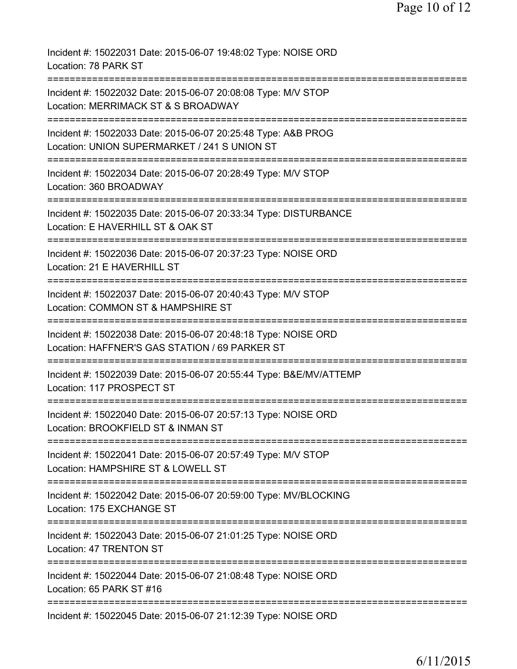| Incident #: 15022031 Date: 2015-06-07 19:48:02 Type: NOISE ORD<br>Location: 78 PARK ST                                           |
|----------------------------------------------------------------------------------------------------------------------------------|
| Incident #: 15022032 Date: 2015-06-07 20:08:08 Type: M/V STOP<br>Location: MERRIMACK ST & S BROADWAY                             |
| Incident #: 15022033 Date: 2015-06-07 20:25:48 Type: A&B PROG<br>Location: UNION SUPERMARKET / 241 S UNION ST                    |
| Incident #: 15022034 Date: 2015-06-07 20:28:49 Type: M/V STOP<br>Location: 360 BROADWAY                                          |
| Incident #: 15022035 Date: 2015-06-07 20:33:34 Type: DISTURBANCE<br>Location: E HAVERHILL ST & OAK ST                            |
| ======================<br>Incident #: 15022036 Date: 2015-06-07 20:37:23 Type: NOISE ORD<br>Location: 21 E HAVERHILL ST          |
| =============<br>Incident #: 15022037 Date: 2015-06-07 20:40:43 Type: M/V STOP<br>Location: COMMON ST & HAMPSHIRE ST             |
| Incident #: 15022038 Date: 2015-06-07 20:48:18 Type: NOISE ORD<br>Location: HAFFNER'S GAS STATION / 69 PARKER ST                 |
| Incident #: 15022039 Date: 2015-06-07 20:55:44 Type: B&E/MV/ATTEMP<br>Location: 117 PROSPECT ST                                  |
| Incident #: 15022040 Date: 2015-06-07 20:57:13 Type: NOISE ORD<br>Location: BROOKFIELD ST & INMAN ST                             |
| Incident #: 15022041 Date: 2015-06-07 20:57:49 Type: M/V STOP<br>Location: HAMPSHIRE ST & LOWELL ST                              |
| :==============================<br>Incident #: 15022042 Date: 2015-06-07 20:59:00 Type: MV/BLOCKING<br>Location: 175 EXCHANGE ST |
| Incident #: 15022043 Date: 2015-06-07 21:01:25 Type: NOISE ORD<br>Location: 47 TRENTON ST                                        |
| Incident #: 15022044 Date: 2015-06-07 21:08:48 Type: NOISE ORD<br>Location: 65 PARK ST #16                                       |
| Incident #: 15022045 Date: 2015-06-07 21:12:39 Type: NOISE ORD                                                                   |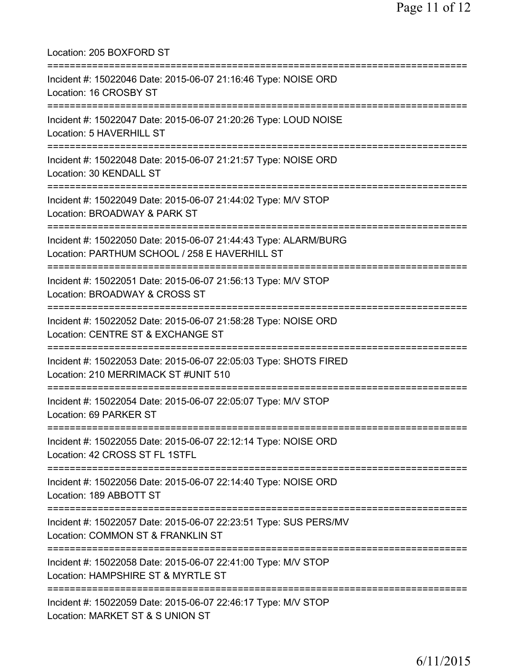| Location: 205 BOXFORD ST                                                                                                                                              |
|-----------------------------------------------------------------------------------------------------------------------------------------------------------------------|
| Incident #: 15022046 Date: 2015-06-07 21:16:46 Type: NOISE ORD<br>Location: 16 CROSBY ST<br>================================                                          |
| Incident #: 15022047 Date: 2015-06-07 21:20:26 Type: LOUD NOISE<br>Location: 5 HAVERHILL ST                                                                           |
| Incident #: 15022048 Date: 2015-06-07 21:21:57 Type: NOISE ORD<br>Location: 30 KENDALL ST                                                                             |
| -----------------------------<br>Incident #: 15022049 Date: 2015-06-07 21:44:02 Type: M/V STOP<br>Location: BROADWAY & PARK ST                                        |
| Incident #: 15022050 Date: 2015-06-07 21:44:43 Type: ALARM/BURG<br>Location: PARTHUM SCHOOL / 258 E HAVERHILL ST<br>:===============================                  |
| Incident #: 15022051 Date: 2015-06-07 21:56:13 Type: M/V STOP<br>Location: BROADWAY & CROSS ST<br>==================================                                  |
| Incident #: 15022052 Date: 2015-06-07 21:58:28 Type: NOISE ORD<br>Location: CENTRE ST & EXCHANGE ST<br>============================<br>============================== |
| Incident #: 15022053 Date: 2015-06-07 22:05:03 Type: SHOTS FIRED<br>Location: 210 MERRIMACK ST #UNIT 510                                                              |
| :============================<br>Incident #: 15022054 Date: 2015-06-07 22:05:07 Type: M/V STOP<br>Location: 69 PARKER ST                                              |
| Incident #: 15022055 Date: 2015-06-07 22:12:14 Type: NOISE ORD<br>Location: 42 CROSS ST FL 1STFL                                                                      |
| Incident #: 15022056 Date: 2015-06-07 22:14:40 Type: NOISE ORD<br>Location: 189 ABBOTT ST                                                                             |
| Incident #: 15022057 Date: 2015-06-07 22:23:51 Type: SUS PERS/MV<br>Location: COMMON ST & FRANKLIN ST                                                                 |
| Incident #: 15022058 Date: 2015-06-07 22:41:00 Type: M/V STOP<br>Location: HAMPSHIRE ST & MYRTLE ST                                                                   |
| Incident #: 15022059 Date: 2015-06-07 22:46:17 Type: M/V STOP<br>Location: MARKET ST & S UNION ST                                                                     |